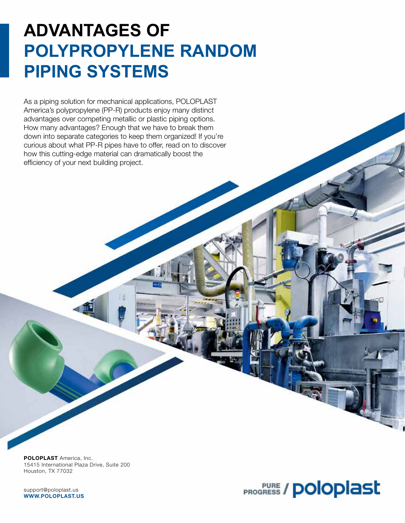# **ADVANTAGES OF POLYPROPYLENE RANDOM PIPING SYSTEMS**

As a piping solution for mechanical applications, POLOPLAST America's polypropylene (PP-R) products enjoy many distinct advantages over competing metallic or plastic piping options. How many advantages? Enough that we have to break them down into separate categories to keep them organized! If you're curious about what PP-R pipes have to offer, read on to discover how this cutting-edge material can dramatically boost the efficiency of your next building project.

POLOPLAST America, Inc. 15415 International Plaza Drive, Suite 200 Houston, TX 77032

support@poloplast.us WWW.POLOPLAST.US

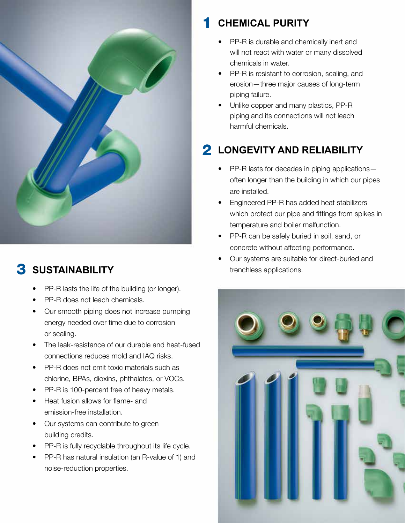

#### **SUSTAINABILITY** 3

- PP-R lasts the life of the building (or longer).
- PP-R does not leach chemicals.
- Our smooth piping does not increase pumping energy needed over time due to corrosion or scaling.
- The leak-resistance of our durable and heat-fused connections reduces mold and IAQ risks.
- PP-R does not emit toxic materials such as chlorine, BPAs, dioxins, phthalates, or VOCs.
- PP-R is 100-percent free of heavy metals.
- Heat fusion allows for flame- and emission-free installation.
- Our systems can contribute to green building credits.
- PP-R is fully recyclable throughout its life cycle.
- PP-R has natural insulation (an R-value of 1) and noise-reduction properties.

#### **CHEMICAL PURITY** 1

- PP-R is durable and chemically inert and will not react with water or many dissolved chemicals in water.
- PP-R is resistant to corrosion, scaling, and erosion—three major causes of long-term piping failure.
- Unlike copper and many plastics, PP-R piping and its connections will not leach harmful chemicals.

# **2 LONGEVITY AND RELIABILITY**

- PP-R lasts for decades in piping applicationsoften longer than the building in which our pipes are installed.
- Engineered PP-R has added heat stabilizers which protect our pipe and fittings from spikes in temperature and boiler malfunction.
- PP-R can be safely buried in soil, sand, or concrete without affecting performance.
- Our systems are suitable for direct-buried and trenchless applications.